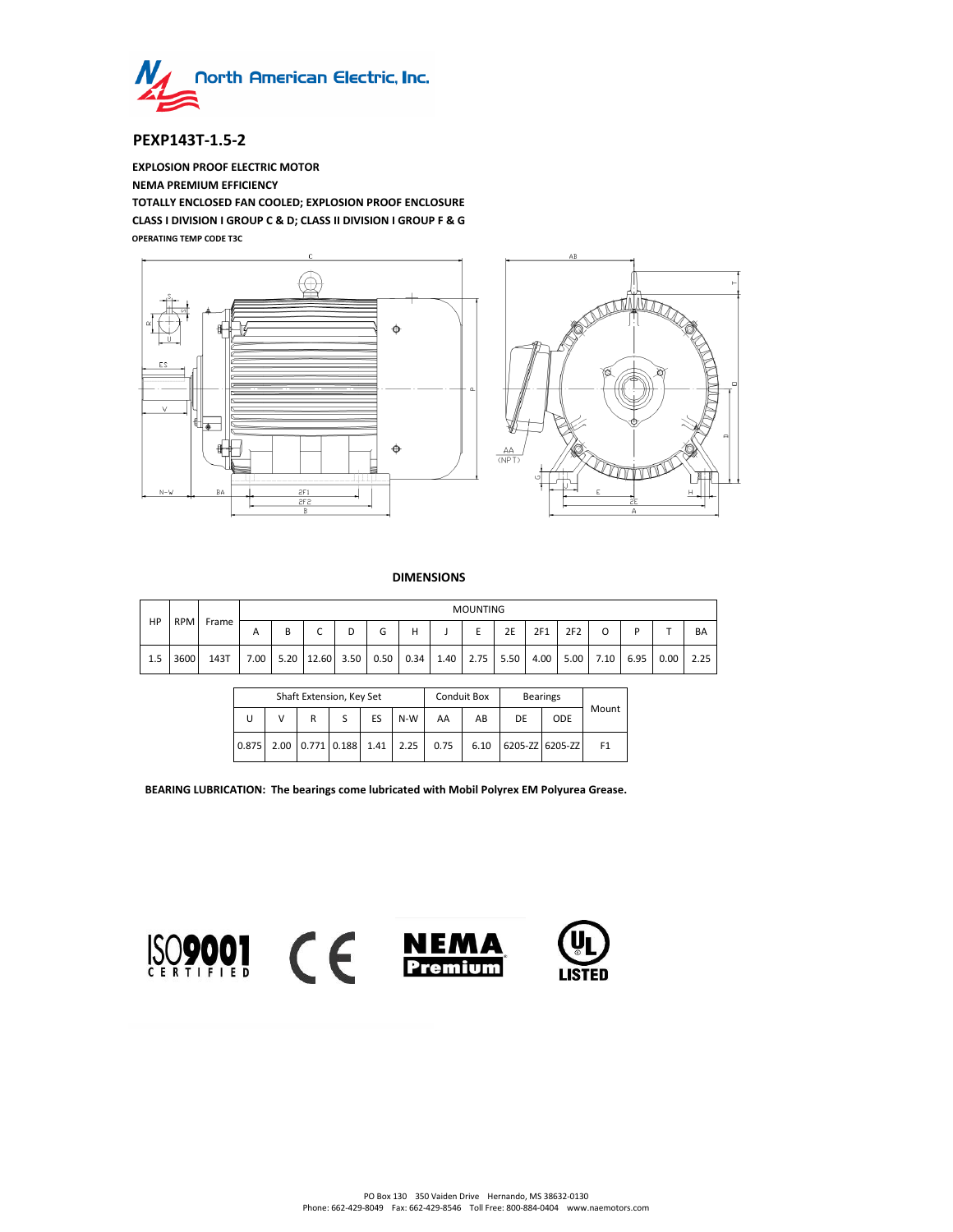

# **PEXP143T-1.5-2**

**EXPLOSION PROOF ELECTRIC MOTOR NEMA PREMIUM EFFICIENCY TOTALLY ENCLOSED FAN COOLED; EXPLOSION PROOF ENCLOSURE CLASS I DIVISION I GROUP C & D; CLASS II DIVISION I GROUP F & G OPERATING TEMP CODE T3C**



## **DIMENSIONS**

|     | <b>RPM</b> | Frame | <b>MOUNTING</b> |   |                          |   |      |      |  |           |      |      |      |      |      |      |           |
|-----|------------|-------|-----------------|---|--------------------------|---|------|------|--|-----------|------|------|------|------|------|------|-----------|
| HP  |            |       | А               | в | $\overline{\phantom{0}}$ | D | G    | н    |  |           | 2E   | 2F1  | 2F2  |      |      |      | <b>BA</b> |
| 1.5 | 3600       | 143T  | 7.00            |   | $5.20$   12.60   3.50    |   | 0.50 | 0.34 |  | 1.40 2.75 | 5.50 | 4.00 | 5.00 | 7.10 | 6.95 | 0.00 | 2.25      |

|       |   | Shaft Extension, Key Set |  |      |      |      | <b>Conduit Box</b> | <b>Bearings</b> |                 |                |
|-------|---|--------------------------|--|------|------|------|--------------------|-----------------|-----------------|----------------|
| U     | v | ES<br>R                  |  | N-W  | AA   | AB   | DE                 | <b>ODE</b>      | Mount           |                |
| 0.875 |   | 2.00 0.771 0.188         |  | 1.41 | 2.25 | 0.75 | 6.10               |                 | 6205-ZZ 6205-ZZ | F <sub>1</sub> |

**BEARING LUBRICATION: The bearings come lubricated with Mobil Polyrex EM Polyurea Grease.**